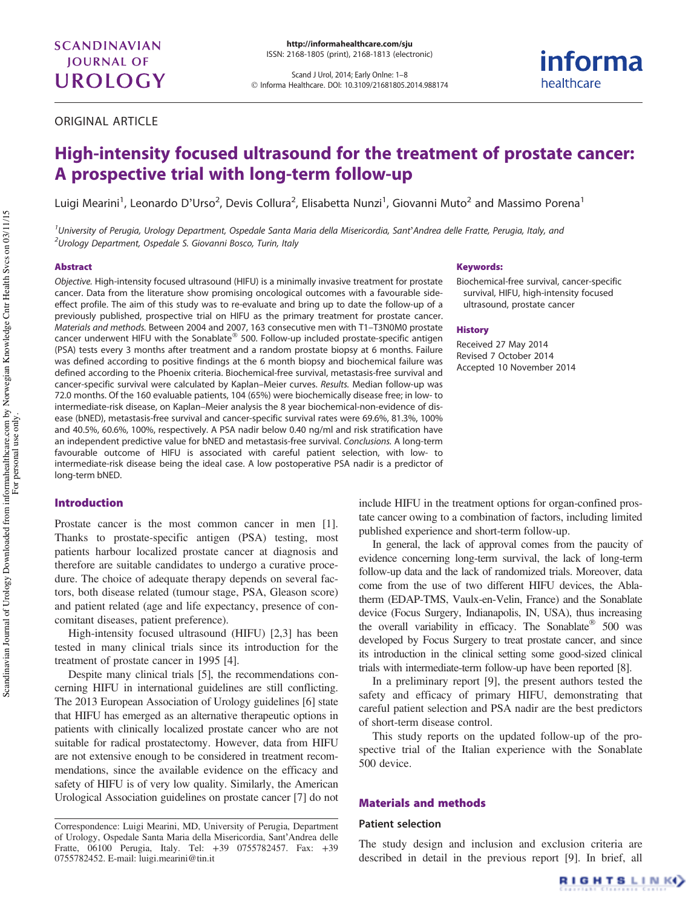Scand J Urol, 2014; Early Onlne: 1–8 © Informa Healthcare. DOI: 10.3109/21681805.2014.988174

ORIGINAL ARTICLE

# High-intensity focused ultrasound for the treatment of prostate cancer: A prospective trial with long-term follow-up

Luigi Mearini<sup>1</sup>, Leonardo D'Urso<sup>2</sup>, Devis Collura<sup>2</sup>, Elisabetta Nunzi<sup>1</sup>, Giovanni Muto<sup>2</sup> and Massimo Porena<sup>1</sup>

<sup>1</sup>University of Perugia, Urology Department, Ospedale Santa Maria della Misericordia, Sant'Andrea delle Fratte, Perugia, Italy, and <sup>2</sup>Urology Department, Ospedale S. Giovanni Bosco, Turin, Italy

#### Abstract

Objective. High-intensity focused ultrasound (HIFU) is a minimally invasive treatment for prostate cancer. Data from the literature show promising oncological outcomes with a favourable sideeffect profile. The aim of this study was to re-evaluate and bring up to date the follow-up of a previously published, prospective trial on HIFU as the primary treatment for prostate cancer. Materials and methods. Between 2004 and 2007, 163 consecutive men with T1–T3N0M0 prostate cancer underwent HIFU with the Sonablate $^{\circledR}$  500. Follow-up included prostate-specific antigen (PSA) tests every 3 months after treatment and a random prostate biopsy at 6 months. Failure was defined according to positive findings at the 6 month biopsy and biochemical failure was defined according to the Phoenix criteria. Biochemical-free survival, metastasis-free survival and cancer-specific survival were calculated by Kaplan–Meier curves. Results. Median follow-up was 72.0 months. Of the 160 evaluable patients, 104 (65%) were biochemically disease free; in low- to intermediate-risk disease, on Kaplan–Meier analysis the 8 year biochemical-non-evidence of disease (bNED), metastasis-free survival and cancer-specific survival rates were 69.6%, 81.3%, 100% and 40.5%, 60.6%, 100%, respectively. A PSA nadir below 0.40 ng/ml and risk stratification have an independent predictive value for bNED and metastasis-free survival. Conclusions. A long-term favourable outcome of HIFU is associated with careful patient selection, with low- to intermediate-risk disease being the ideal case. A low postoperative PSA nadir is a predictor of long-term bNED.

## Introduction

Prostate cancer is the most common cancer in men [\[1](#page-6-0)]. Thanks to prostate-specific antigen (PSA) testing, most patients harbour localized prostate cancer at diagnosis and therefore are suitable candidates to undergo a curative procedure. The choice of adequate therapy depends on several factors, both disease related (tumour stage, PSA, Gleason score) and patient related (age and life expectancy, presence of concomitant diseases, patient preference).

High-intensity focused ultrasound (HIFU) [[2,3](#page-6-0)] has been tested in many clinical trials since its introduction for the treatment of prostate cancer in 1995 [[4\]](#page-6-0).

Despite many clinical trials [\[5](#page-6-0)], the recommendations concerning HIFU in international guidelines are still conflicting. The 2013 European Association of Urology guidelines [[6](#page-6-0)] state that HIFU has emerged as an alternative therapeutic options in patients with clinically localized prostate cancer who are not suitable for radical prostatectomy. However, data from HIFU are not extensive enough to be considered in treatment recommendations, since the available evidence on the efficacy and safety of HIFU is of very low quality. Similarly, the American Urological Association guidelines on prostate cancer [[7\]](#page-6-0) do not

#### Keywords:

Biochemical-free survival, cancer-specific survival, HIFU, high-intensity focused ultrasound, prostate cancer

informa

healthcare

#### **History**

Received 27 May 2014 Revised 7 October 2014 Accepted 10 November 2014

include HIFU in the treatment options for organ-confined prostate cancer owing to a combination of factors, including limited published experience and short-term follow-up.

In general, the lack of approval comes from the paucity of evidence concerning long-term survival, the lack of long-term follow-up data and the lack of randomized trials. Moreover, data come from the use of two different HIFU devices, the Ablatherm (EDAP-TMS, Vaulx-en-Velin, France) and the Sonablate device (Focus Surgery, Indianapolis, IN, USA), thus increasing the overall variability in efficacy. The Sonablate  $500$  was developed by Focus Surgery to treat prostate cancer, and since its introduction in the clinical setting some good-sized clinical trials with intermediate-term follow-up have been reported [[8](#page-6-0)].

In a preliminary report [[9\]](#page-6-0), the present authors tested the safety and efficacy of primary HIFU, demonstrating that careful patient selection and PSA nadir are the best predictors of short-term disease control.

This study reports on the updated follow-up of the prospective trial of the Italian experience with the Sonablate 500 device.

#### Materials and methods

#### Patient selection

The study design and inclusion and exclusion criteria are described in detail in the previous report [\[9](#page-6-0)]. In brief, all



Correspondence: Luigi Mearini, MD, University of Perugia, Department of Urology, Ospedale Santa Maria della Misericordia, Sant'Andrea delle Fratte, 06100 Perugia, Italy. Tel: +39 0755782457. Fax: +39 0755782452. E-mail: [luigi.mearini@tin.it](mailto:luigi.mearini@tin.it)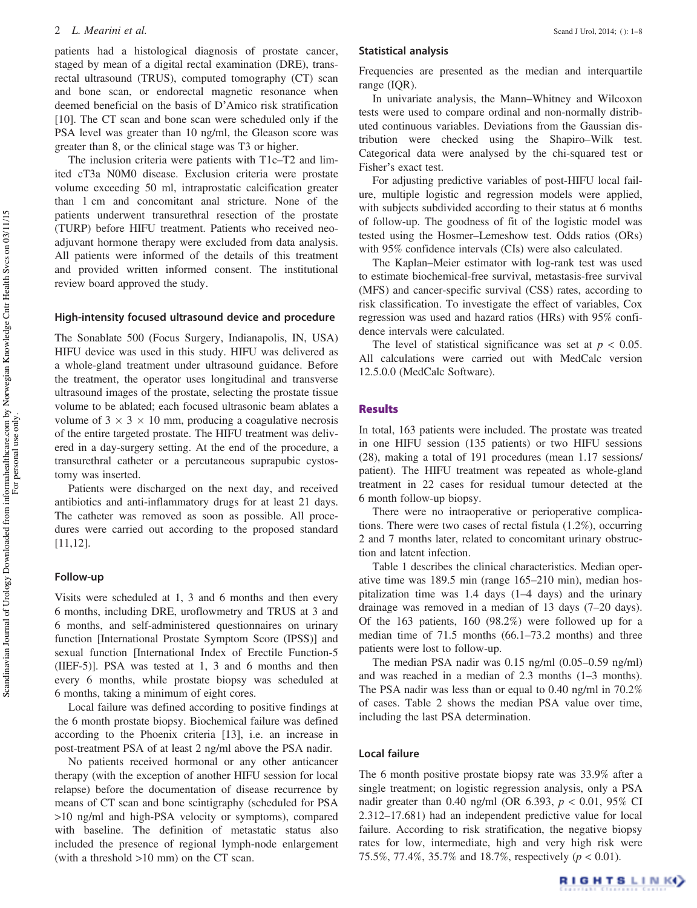patients had a histological diagnosis of prostate cancer, staged by mean of a digital rectal examination (DRE), transrectal ultrasound (TRUS), computed tomography (CT) scan and bone scan, or endorectal magnetic resonance when deemed beneficial on the basis of D'Amico risk stratification [\[10](#page-6-0)]. The CT scan and bone scan were scheduled only if the PSA level was greater than 10 ng/ml, the Gleason score was greater than 8, or the clinical stage was T3 or higher.

The inclusion criteria were patients with T1c–T2 and limited cT3a N0M0 disease. Exclusion criteria were prostate volume exceeding 50 ml, intraprostatic calcification greater than 1 cm and concomitant anal stricture. None of the patients underwent transurethral resection of the prostate (TURP) before HIFU treatment. Patients who received neoadjuvant hormone therapy were excluded from data analysis. All patients were informed of the details of this treatment and provided written informed consent. The institutional review board approved the study.

### High-intensity focused ultrasound device and procedure

The Sonablate 500 (Focus Surgery, Indianapolis, IN, USA) HIFU device was used in this study. HIFU was delivered as a whole-gland treatment under ultrasound guidance. Before the treatment, the operator uses longitudinal and transverse ultrasound images of the prostate, selecting the prostate tissue volume to be ablated; each focused ultrasonic beam ablates a volume of  $3 \times 3 \times 10$  mm, producing a coagulative necrosis of the entire targeted prostate. The HIFU treatment was delivered in a day-surgery setting. At the end of the procedure, a transurethral catheter or a percutaneous suprapubic cystostomy was inserted.

Patients were discharged on the next day, and received antibiotics and anti-inflammatory drugs for at least 21 days. The catheter was removed as soon as possible. All procedures were carried out according to the proposed standard [\[11,12\]](#page-6-0).

### Follow-up

Visits were scheduled at 1, 3 and 6 months and then every 6 months, including DRE, uroflowmetry and TRUS at 3 and 6 months, and self-administered questionnaires on urinary function [International Prostate Symptom Score (IPSS)] and sexual function [International Index of Erectile Function-5 (IIEF-5)]. PSA was tested at 1, 3 and 6 months and then every 6 months, while prostate biopsy was scheduled at 6 months, taking a minimum of eight cores.

Local failure was defined according to positive findings at the 6 month prostate biopsy. Biochemical failure was defined according to the Phoenix criteria [\[13](#page-6-0)], i.e. an increase in post-treatment PSA of at least 2 ng/ml above the PSA nadir.

No patients received hormonal or any other anticancer therapy (with the exception of another HIFU session for local relapse) before the documentation of disease recurrence by means of CT scan and bone scintigraphy (scheduled for PSA >10 ng/ml and high-PSA velocity or symptoms), compared with baseline. The definition of metastatic status also included the presence of regional lymph-node enlargement (with a threshold >10 mm) on the CT scan.

## Statistical analysis

Frequencies are presented as the median and interquartile range (IQR).

In univariate analysis, the Mann–Whitney and Wilcoxon tests were used to compare ordinal and non-normally distributed continuous variables. Deviations from the Gaussian distribution were checked using the Shapiro–Wilk test. Categorical data were analysed by the chi-squared test or Fisher's exact test.

For adjusting predictive variables of post-HIFU local failure, multiple logistic and regression models were applied, with subjects subdivided according to their status at 6 months of follow-up. The goodness of fit of the logistic model was tested using the Hosmer–Lemeshow test. Odds ratios (ORs) with 95% confidence intervals (CIs) were also calculated.

The Kaplan–Meier estimator with log-rank test was used to estimate biochemical-free survival, metastasis-free survival (MFS) and cancer-specific survival (CSS) rates, according to risk classification. To investigate the effect of variables, Cox regression was used and hazard ratios (HRs) with 95% confidence intervals were calculated.

The level of statistical significance was set at  $p < 0.05$ . All calculations were carried out with MedCalc version 12.5.0.0 (MedCalc Software).

# **Results**

In total, 163 patients were included. The prostate was treated in one HIFU session (135 patients) or two HIFU sessions (28), making a total of 191 procedures (mean 1.17 sessions/ patient). The HIFU treatment was repeated as whole-gland treatment in 22 cases for residual tumour detected at the 6 month follow-up biopsy.

There were no intraoperative or perioperative complications. There were two cases of rectal fistula (1.2%), occurring 2 and 7 months later, related to concomitant urinary obstruction and latent infection.

[Table 1](#page-2-0) describes the clinical characteristics. Median operative time was 189.5 min (range 165–210 min), median hospitalization time was 1.4 days (1–4 days) and the urinary drainage was removed in a median of 13 days (7–20 days). Of the 163 patients, 160 (98.2%) were followed up for a median time of 71.5 months (66.1–73.2 months) and three patients were lost to follow-up.

The median PSA nadir was 0.15 ng/ml (0.05–0.59 ng/ml) and was reached in a median of 2.3 months (1–3 months). The PSA nadir was less than or equal to 0.40 ng/ml in 70.2% of cases. [Table 2](#page-2-0) shows the median PSA value over time, including the last PSA determination.

#### Local failure

The 6 month positive prostate biopsy rate was 33.9% after a single treatment; on logistic regression analysis, only a PSA nadir greater than 0.40 ng/ml (OR 6.393,  $p < 0.01$ , 95% CI 2.312–17.681) had an independent predictive value for local failure. According to risk stratification, the negative biopsy rates for low, intermediate, high and very high risk were 75.5%, 77.4%, 35.7% and 18.7%, respectively ( $p < 0.01$ ).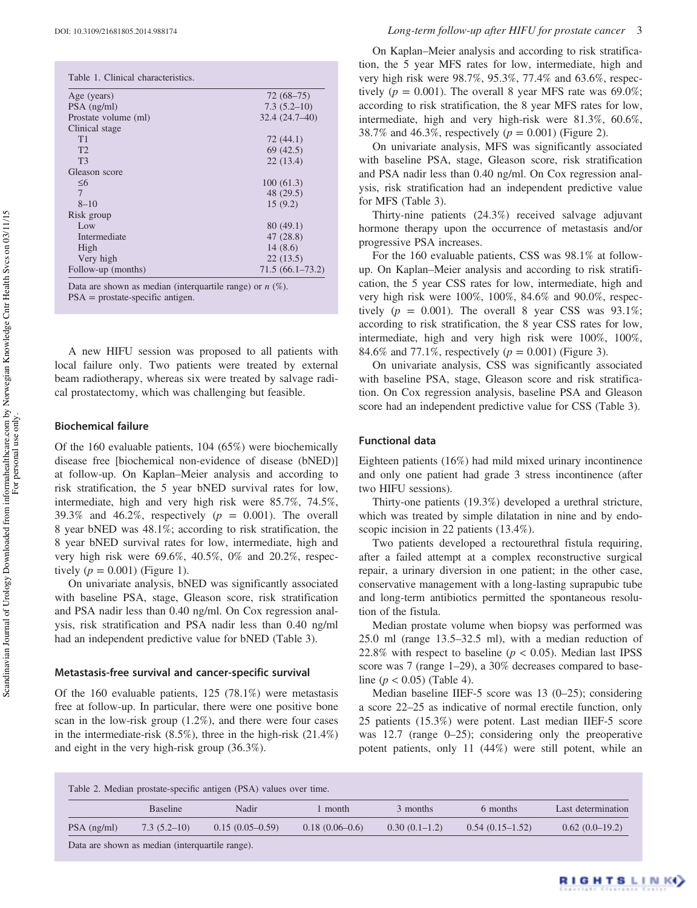<span id="page-2-0"></span>

| Age (years)          | $72(68-75)$     |
|----------------------|-----------------|
| $PSA$ (ng/ml)        | $7.3(5.2-10)$   |
| Prostate volume (ml) | 32.4 (24.7-40)  |
| Clinical stage       |                 |
| T1                   | 72 (44.1)       |
| T2                   | 69 (42.5)       |
| T <sub>3</sub>       | 22(13.4)        |
| Gleason score        |                 |
| $\leq 6$             | 100(61.3)       |
| 7                    | 48 (29.5)       |
| $8 - 10$             | 15(9.2)         |
| Risk group           |                 |
| Low                  | 80 (49.1)       |
| Intermediate         | 47 (28.8)       |
| High                 | 14(8.6)         |
| Very high            | 22(13.5)        |
| Follow-up (months)   | 71.5(66.1–73.2) |

Data are shown as median (interquartile range) or  $n$  (%). PSA = prostate-specific antigen.

A new HIFU session was proposed to all patients with local failure only. Two patients were treated by external beam radiotherapy, whereas six were treated by salvage radical prostatectomy, which was challenging but feasible.

### Biochemical failure

Of the 160 evaluable patients, 104 (65%) were biochemically disease free [biochemical non-evidence of disease (bNED)] at follow-up. On Kaplan–Meier analysis and according to risk stratification, the 5 year bNED survival rates for low, intermediate, high and very high risk were 85.7%, 74.5%, 39.3% and 46.2%, respectively  $(p = 0.001)$ . The overall 8 year bNED was 48.1%; according to risk stratification, the 8 year bNED survival rates for low, intermediate, high and very high risk were 69.6%, 40.5%, 0% and 20.2%, respectively  $(p = 0.001)$  [\(Figure 1\)](#page-3-0).

On univariate analysis, bNED was significantly associated with baseline PSA, stage, Gleason score, risk stratification and PSA nadir less than 0.40 ng/ml. On Cox regression analysis, risk stratification and PSA nadir less than 0.40 ng/ml had an independent predictive value for bNED ([Table 3](#page-3-0)).

#### Metastasis-free survival and cancer-specific survival

Of the 160 evaluable patients, 125 (78.1%) were metastasis free at follow-up. In particular, there were one positive bone scan in the low-risk group (1.2%), and there were four cases in the intermediate-risk (8.5%), three in the high-risk (21.4%) and eight in the very high-risk group (36.3%).

On Kaplan–Meier analysis and according to risk stratification, the 5 year MFS rates for low, intermediate, high and very high risk were 98.7%, 95.3%, 77.4% and 63.6%, respectively ( $p = 0.001$ ). The overall 8 year MFS rate was 69.0%; according to risk stratification, the 8 year MFS rates for low, intermediate, high and very high-risk were 81.3%, 60.6%, 38.7% and 46.3%, respectively ( $p = 0.001$ ) ([Figure 2\)](#page-4-0).

On univariate analysis, MFS was significantly associated with baseline PSA, stage, Gleason score, risk stratification and PSA nadir less than 0.40 ng/ml. On Cox regression analysis, risk stratification had an independent predictive value for MFS [\(Table 3\)](#page-3-0).

Thirty-nine patients (24.3%) received salvage adjuvant hormone therapy upon the occurrence of metastasis and/or progressive PSA increases.

For the 160 evaluable patients, CSS was 98.1% at followup. On Kaplan–Meier analysis and according to risk stratification, the 5 year CSS rates for low, intermediate, high and very high risk were 100%, 100%, 84.6% and 90.0%, respectively ( $p = 0.001$ ). The overall 8 year CSS was 93.1%; according to risk stratification, the 8 year CSS rates for low, intermediate, high and very high risk were 100%, 100%, 84.6% and 77.1%, respectively ( $p = 0.001$ ) ([Figure 3\)](#page-4-0).

On univariate analysis, CSS was significantly associated with baseline PSA, stage, Gleason score and risk stratification. On Cox regression analysis, baseline PSA and Gleason score had an independent predictive value for CSS ([Table 3](#page-3-0)).

#### Functional data

Eighteen patients (16%) had mild mixed urinary incontinence and only one patient had grade 3 stress incontinence (after two HIFU sessions).

Thirty-one patients (19.3%) developed a urethral stricture, which was treated by simple dilatation in nine and by endoscopic incision in 22 patients (13.4%).

Two patients developed a rectourethral fistula requiring, after a failed attempt at a complex reconstructive surgical repair, a urinary diversion in one patient; in the other case, conservative management with a long-lasting suprapubic tube and long-term antibiotics permitted the spontaneous resolution of the fistula.

Median prostate volume when biopsy was performed was 25.0 ml (range 13.5–32.5 ml), with a median reduction of 22.8% with respect to baseline ( $p < 0.05$ ). Median last IPSS score was 7 (range 1–29), a 30% decreases compared to baseline ( $p < 0.05$ ) [\(Table 4\)](#page-5-0).

Median baseline IIEF-5 score was 13 (0–25); considering a score 22–25 as indicative of normal erectile function, only 25 patients (15.3%) were potent. Last median IIEF-5 score was 12.7 (range 0–25); considering only the preoperative potent patients, only 11 (44%) were still potent, while an

Table 2. Median prostate-specific antigen (PSA) values over time.

| Table 2. Median problame specific antigen $(1.971)$ values over this. |                 |                   |                  |                 |                   |                    |  |  |
|-----------------------------------------------------------------------|-----------------|-------------------|------------------|-----------------|-------------------|--------------------|--|--|
|                                                                       | <b>Baseline</b> | Nadir             | month            | 3 months        | 6 months          | Last determination |  |  |
| $PSA$ (ng/ml)                                                         | $7.3(5.2-10)$   | $0.15(0.05-0.59)$ | $0.18(0.06-0.6)$ | $0.30(0.1-1.2)$ | $0.54(0.15-1.52)$ | $0.62(0.0-19.2)$   |  |  |
| Determined the same control of the Continuum of the same of $\lambda$ |                 |                   |                  |                 |                   |                    |  |  |

Data are shown as median (interquartile range).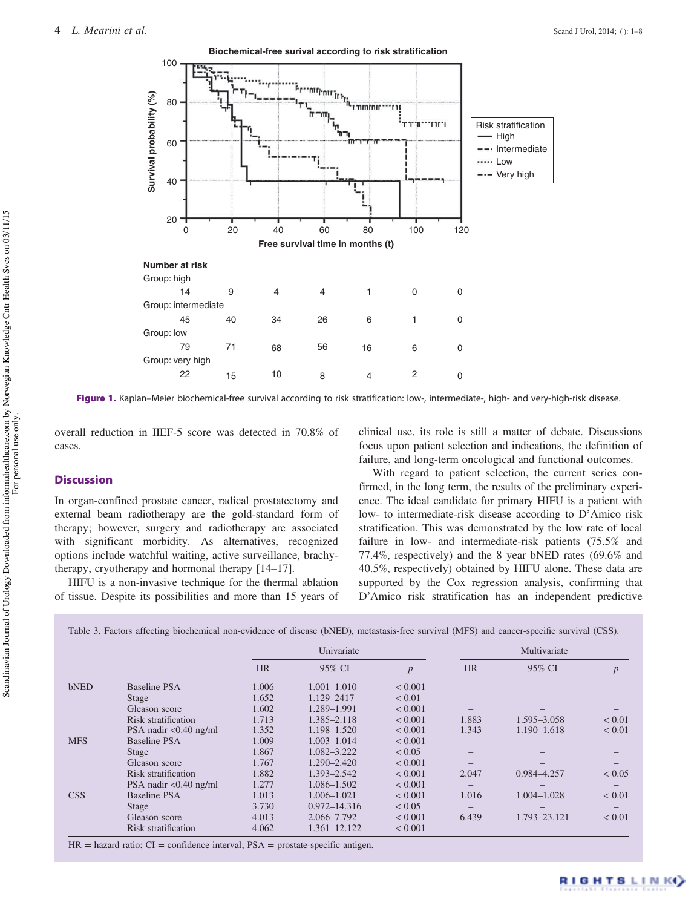<span id="page-3-0"></span>

Figure 1. Kaplan–Meier biochemical-free survival according to risk stratification: low-, intermediate-, high- and very-high-risk disease.

overall reduction in IIEF-5 score was detected in 70.8% of cases.

# **Discussion**

In organ-confined prostate cancer, radical prostatectomy and external beam radiotherapy are the gold-standard form of therapy; however, surgery and radiotherapy are associated with significant morbidity. As alternatives, recognized options include watchful waiting, active surveillance, brachytherapy, cryotherapy and hormonal therapy [\[14](#page-6-0)–[17](#page-6-0)].

HIFU is a non-invasive technique for the thermal ablation of tissue. Despite its possibilities and more than 15 years of clinical use, its role is still a matter of debate. Discussions focus upon patient selection and indications, the definition of failure, and long-term oncological and functional outcomes.

With regard to patient selection, the current series confirmed, in the long term, the results of the preliminary experience. The ideal candidate for primary HIFU is a patient with low- to intermediate-risk disease according to D'Amico risk stratification. This was demonstrated by the low rate of local failure in low- and intermediate-risk patients (75.5% and 77.4%, respectively) and the 8 year bNED rates (69.6% and 40.5%, respectively) obtained by HIFU alone. These data are supported by the Cox regression analysis, confirming that D'Amico risk stratification has an independent predictive

Table 3. Factors affecting biochemical non-evidence of disease (bNED), metastasis-free survival (MFS) and cancer-specific survival (CSS).

|            |                                        | Univariate |                  |                  | Multivariate             |                 |                  |
|------------|----------------------------------------|------------|------------------|------------------|--------------------------|-----------------|------------------|
|            |                                        | <b>HR</b>  | 95% CI           | $\boldsymbol{p}$ | <b>HR</b>                | 95% CI          | $\boldsymbol{p}$ |
| bNED       | Baseline PSA                           | 1.006      | 1.001–1.010      | ${}< 0.001$      | $\overline{\phantom{m}}$ |                 |                  |
|            | Stage                                  | 1.652      | 1.129-2417       | ${}< 0.01$       | -                        |                 |                  |
|            | Gleason score                          | 1.602      | 1.289-1.991      | ${}< 0.001$      | —                        |                 |                  |
|            | Risk stratification                    | 1.713      | 1.385-2.118      | ${}< 0.001$      | 1.883                    | 1.595-3.058     | ${}< 0.01$       |
|            | PSA nadir $< 0.40$ ng/ml               | 1.352      | 1.198-1.520      | < 0.001          | 1.343                    | 1.190-1.618     | ${}< 0.01$       |
| <b>MFS</b> | Baseline PSA                           | 1.009      | $1.003 - 1.014$  | < 0.001          |                          |                 |                  |
|            | Stage                                  | 1.867      | 1.082-3.222      | ${}_{0.05}$      |                          |                 |                  |
|            | Gleason score                          | 1.767      | 1.290-2.420      | ${}< 0.001$      |                          |                 |                  |
|            | Risk stratification                    | 1.882      | 1.393-2.542      | ${}< 0.001$      | 2.047                    | 0.984-4.257     | < 0.05           |
|            | PSA nadir $\langle 0.40 \text{ ng/ml}$ | 1.277      | 1.086-1.502      | ${}< 0.001$      |                          |                 |                  |
| <b>CSS</b> | <b>Baseline PSA</b>                    | 1.013      | 1.006-1.021      | ${}< 0.001$      | 1.016                    | $1.004 - 1.028$ | ${}< 0.01$       |
|            | <b>Stage</b>                           | 3.730      | $0.972 - 14.316$ | ${}< 0.05$       | -                        |                 |                  |
|            | Gleason score                          | 4.013      | 2.066-7.792      | ${}< 0.001$      | 6.439                    | 1.793-23.121    | ${}< 0.01$       |
|            | Risk stratification                    | 4.062      | 1.361-12.122     | ${}< 0.001$      |                          |                 |                  |

 $HR =$  hazard ratio;  $CI =$  confidence interval;  $PSA =$  prostate-specific antigen.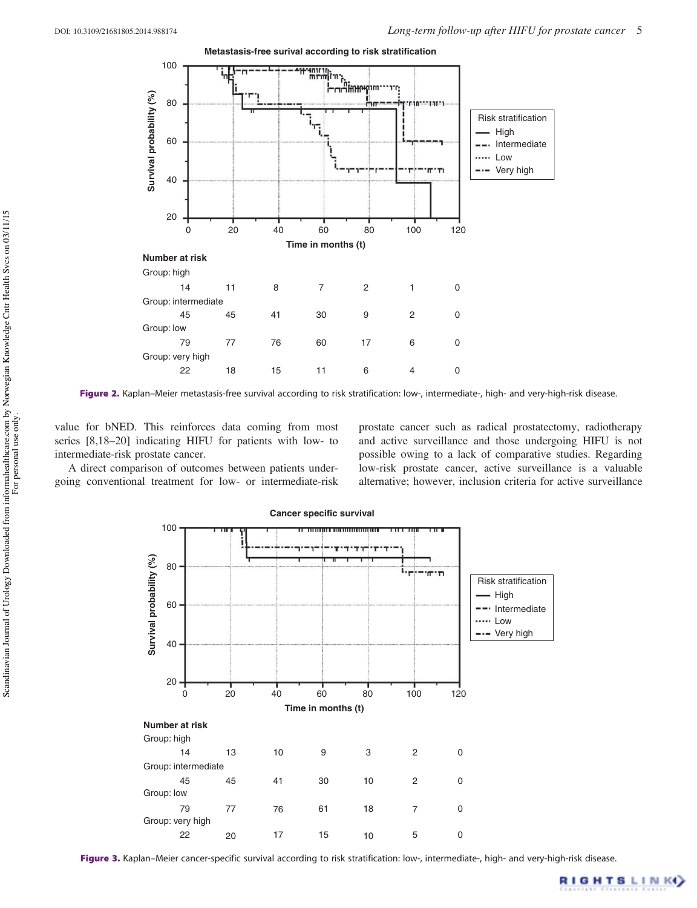<span id="page-4-0"></span>

Figure 2. Kaplan–Meier metastasis-free survival according to risk stratification: low-, intermediate-, high- and very-high-risk disease.

value for bNED. This reinforces data coming from most series [\[8](#page-6-0),[18](#page-6-0)–[20\]](#page-6-0) indicating HIFU for patients with low- to intermediate-risk prostate cancer.

A direct comparison of outcomes between patients undergoing conventional treatment for low- or intermediate-risk prostate cancer such as radical prostatectomy, radiotherapy and active surveillance and those undergoing HIFU is not possible owing to a lack of comparative studies. Regarding low-risk prostate cancer, active surveillance is a valuable alternative; however, inclusion criteria for active surveillance



Figure 3. Kaplan–Meier cancer-specific survival according to risk stratification: low-, intermediate-, high- and very-high-risk disease.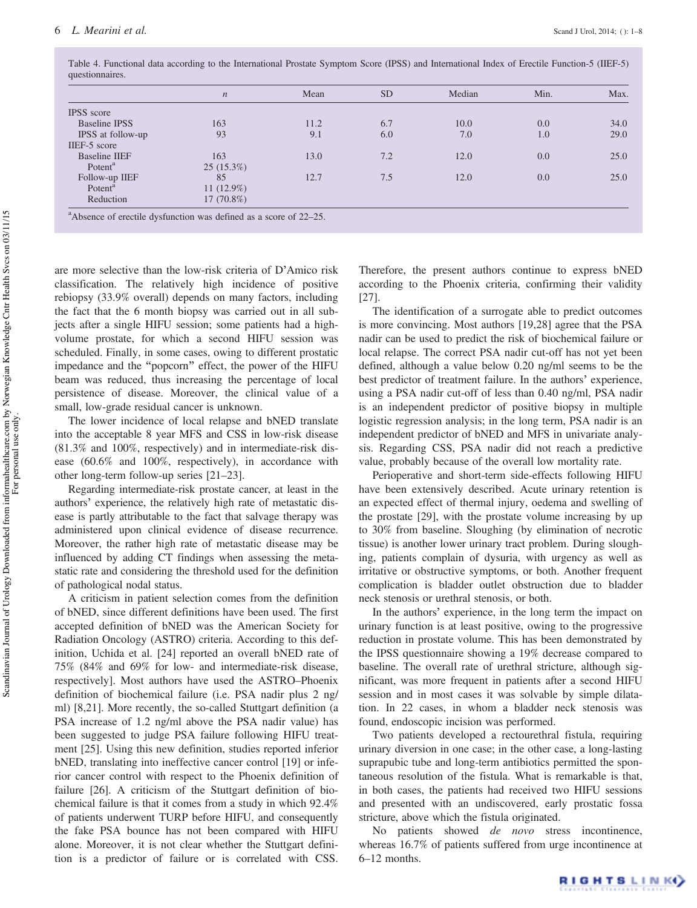|                      | $\boldsymbol{n}$ | Mean | <b>SD</b> | Median | Min. | Max. |
|----------------------|------------------|------|-----------|--------|------|------|
| <b>IPSS</b> score    |                  |      |           |        |      |      |
| <b>Baseline IPSS</b> | 163              | 11.2 | 6.7       | 10.0   | 0.0  | 34.0 |
| IPSS at follow-up    | 93               | 9.1  | 6.0       | 7.0    | 1.0  | 29.0 |
| IIEF-5 score         |                  |      |           |        |      |      |
| <b>Baseline IIEF</b> | 163              | 13.0 | 7.2       | 12.0   | 0.0  | 25.0 |
| Potent <sup>a</sup>  | $25(15.3\%)$     |      |           |        |      |      |
| Follow-up IIEF       | 85               | 12.7 | 7.5       | 12.0   | 0.0  | 25.0 |
| Potent <sup>a</sup>  | 11 $(12.9%)$     |      |           |        |      |      |
| Reduction            | $17(70.8\%)$     |      |           |        |      |      |

<span id="page-5-0"></span>Table 4. Functional data according to the International Prostate Symptom Score (IPSS) and International Index of Erectile Function-5 (IIEF-5) questionnaires.

are more selective than the low-risk criteria of D'Amico risk classification. The relatively high incidence of positive rebiopsy (33.9% overall) depends on many factors, including the fact that the 6 month biopsy was carried out in all subjects after a single HIFU session; some patients had a highvolume prostate, for which a second HIFU session was scheduled. Finally, in some cases, owing to different prostatic impedance and the "popcorn" effect, the power of the HIFU beam was reduced, thus increasing the percentage of local persistence of disease. Moreover, the clinical value of a small, low-grade residual cancer is unknown.

The lower incidence of local relapse and bNED translate into the acceptable 8 year MFS and CSS in low-risk disease (81.3% and 100%, respectively) and in intermediate-risk disease (60.6% and 100%, respectively), in accordance with other long-term follow-up series [[21](#page-6-0)–[23](#page-6-0)].

Regarding intermediate-risk prostate cancer, at least in the authors' experience, the relatively high rate of metastatic disease is partly attributable to the fact that salvage therapy was administered upon clinical evidence of disease recurrence. Moreover, the rather high rate of metastatic disease may be influenced by adding CT findings when assessing the metastatic rate and considering the threshold used for the definition of pathological nodal status.

A criticism in patient selection comes from the definition of bNED, since different definitions have been used. The first accepted definition of bNED was the American Society for Radiation Oncology (ASTRO) criteria. According to this definition, Uchida et al. [[24\]](#page-6-0) reported an overall bNED rate of 75% (84% and 69% for low- and intermediate-risk disease, respectively]. Most authors have used the ASTRO–Phoenix definition of biochemical failure (i.e. PSA nadir plus 2 ng/ ml) [[8,21](#page-6-0)]. More recently, the so-called Stuttgart definition (a PSA increase of 1.2 ng/ml above the PSA nadir value) has been suggested to judge PSA failure following HIFU treatment [[25\]](#page-6-0). Using this new definition, studies reported inferior bNED, translating into ineffective cancer control [[19\]](#page-6-0) or inferior cancer control with respect to the Phoenix definition of failure [[26\]](#page-6-0). A criticism of the Stuttgart definition of biochemical failure is that it comes from a study in which 92.4% of patients underwent TURP before HIFU, and consequently the fake PSA bounce has not been compared with HIFU alone. Moreover, it is not clear whether the Stuttgart definition is a predictor of failure or is correlated with CSS.

Therefore, the present authors continue to express bNED according to the Phoenix criteria, confirming their validity [\[27\]](#page-7-0).

The identification of a surrogate able to predict outcomes is more convincing. Most authors [[19,](#page-6-0)[28](#page-7-0)] agree that the PSA nadir can be used to predict the risk of biochemical failure or local relapse. The correct PSA nadir cut-off has not yet been defined, although a value below 0.20 ng/ml seems to be the best predictor of treatment failure. In the authors' experience, using a PSA nadir cut-off of less than 0.40 ng/ml, PSA nadir is an independent predictor of positive biopsy in multiple logistic regression analysis; in the long term, PSA nadir is an independent predictor of bNED and MFS in univariate analysis. Regarding CSS, PSA nadir did not reach a predictive value, probably because of the overall low mortality rate.

Perioperative and short-term side-effects following HIFU have been extensively described. Acute urinary retention is an expected effect of thermal injury, oedema and swelling of the prostate [\[29\]](#page-7-0), with the prostate volume increasing by up to 30% from baseline. Sloughing (by elimination of necrotic tissue) is another lower urinary tract problem. During sloughing, patients complain of dysuria, with urgency as well as irritative or obstructive symptoms, or both. Another frequent complication is bladder outlet obstruction due to bladder neck stenosis or urethral stenosis, or both.

In the authors' experience, in the long term the impact on urinary function is at least positive, owing to the progressive reduction in prostate volume. This has been demonstrated by the IPSS questionnaire showing a 19% decrease compared to baseline. The overall rate of urethral stricture, although significant, was more frequent in patients after a second HIFU session and in most cases it was solvable by simple dilatation. In 22 cases, in whom a bladder neck stenosis was found, endoscopic incision was performed.

Two patients developed a rectourethral fistula, requiring urinary diversion in one case; in the other case, a long-lasting suprapubic tube and long-term antibiotics permitted the spontaneous resolution of the fistula. What is remarkable is that, in both cases, the patients had received two HIFU sessions and presented with an undiscovered, early prostatic fossa stricture, above which the fistula originated.

No patients showed *de novo* stress incontinence, whereas 16.7% of patients suffered from urge incontinence at 6–12 months.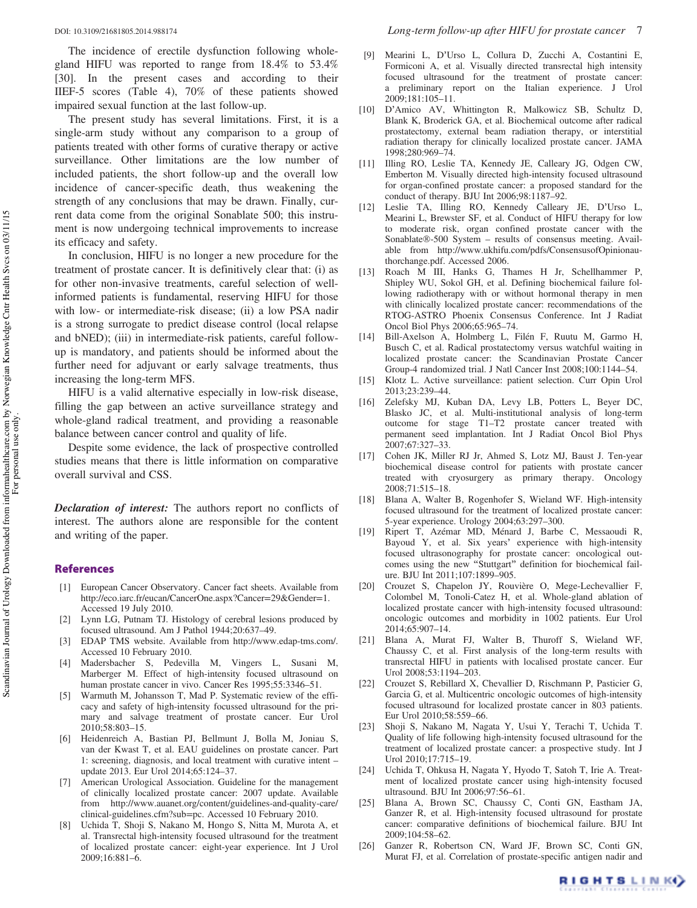<span id="page-6-0"></span>

The incidence of erectile dysfunction following wholegland HIFU was reported to range from 18.4% to 53.4% [\[30](#page-7-0)]. In the present cases and according to their IIEF-5 scores [\(Table 4\)](#page-5-0), 70% of these patients showed impaired sexual function at the last follow-up.

The present study has several limitations. First, it is a single-arm study without any comparison to a group of patients treated with other forms of curative therapy or active surveillance. Other limitations are the low number of included patients, the short follow-up and the overall low incidence of cancer-specific death, thus weakening the strength of any conclusions that may be drawn. Finally, current data come from the original Sonablate 500; this instrument is now undergoing technical improvements to increase its efficacy and safety.

In conclusion, HIFU is no longer a new procedure for the treatment of prostate cancer. It is definitively clear that: (i) as for other non-invasive treatments, careful selection of wellinformed patients is fundamental, reserving HIFU for those with low- or intermediate-risk disease; (ii) a low PSA nadir is a strong surrogate to predict disease control (local relapse and bNED); (iii) in intermediate-risk patients, careful followup is mandatory, and patients should be informed about the further need for adjuvant or early salvage treatments, thus increasing the long-term MFS.

HIFU is a valid alternative especially in low-risk disease, filling the gap between an active surveillance strategy and whole-gland radical treatment, and providing a reasonable balance between cancer control and quality of life.

Despite some evidence, the lack of prospective controlled studies means that there is little information on comparative overall survival and CSS.

Declaration of interest: The authors report no conflicts of interest. The authors alone are responsible for the content and writing of the paper.

## References

- [1] European Cancer Observatory. Cancer fact sheets. Available from http://eco.iarc.fr/eucan/CancerOne.aspx?Cancer=29&Gender=1. Accessed 19 July 2010.
- [2] Lynn LG, Putnam TJ. Histology of cerebral lesions produced by focused ultrasound. Am J Pathol 1944;20:637–49.
- [3] EDAP TMS website. Available from http://www.edap-tms.com/. Accessed 10 February 2010.
- [4] Madersbacher S, Pedevilla M, Vingers L, Susani M, Marberger M. Effect of high-intensity focused ultrasound on human prostate cancer in vivo. Cancer Res 1995;55:3346–51.
- [5] Warmuth M, Johansson T, Mad P. Systematic review of the efficacy and safety of high-intensity focussed ultrasound for the primary and salvage treatment of prostate cancer. Eur Urol 2010;58:803–15.
- [6] Heidenreich A, Bastian PJ, Bellmunt J, Bolla M, Joniau S, van der Kwast T, et al. EAU guidelines on prostate cancer. Part 1: screening, diagnosis, and local treatment with curative intent – update 2013. Eur Urol 2014;65:124–37.
- [7] American Urological Association. Guideline for the management of clinically localized prostate cancer: 2007 update. Available from http://www.auanet.org/content/guidelines-and-quality-care/ clinical-guidelines.cfm?sub=pc. Accessed 10 February 2010.
- [8] Uchida T, Shoji S, Nakano M, Hongo S, Nitta M, Murota A, et al. Transrectal high-intensity focused ultrasound for the treatment of localized prostate cancer: eight-year experience. Int J Urol 2009;16:881–6.
- [9] Mearini L, D'Urso L, Collura D, Zucchi A, Costantini E, Formiconi A, et al. Visually directed transrectal high intensity focused ultrasound for the treatment of prostate cancer: a preliminary report on the Italian experience. J Urol 2009;181:105–11.
- [10] D'Amico AV, Whittington R, Malkowicz SB, Schultz D, Blank K, Broderick GA, et al. Biochemical outcome after radical prostatectomy, external beam radiation therapy, or interstitial radiation therapy for clinically localized prostate cancer. JAMA 1998;280:969–74.
- [11] Illing RO, Leslie TA, Kennedy JE, Calleary JG, Odgen CW, Emberton M. Visually directed high-intensity focused ultrasound for organ-confined prostate cancer: a proposed standard for the conduct of therapy. BJU Int 2006;98:1187–92.
- [12] Leslie TA, Illing RO, Kennedy Calleary JE, D'Urso L, Mearini L, Brewster SF, et al. Conduct of HIFU therapy for low to moderate risk, organ confined prostate cancer with the Sonablate®-500 System – results of consensus meeting. Available from http://www.ukhifu.com/pdfs/ConsensusofOpinionauthorchange.pdf. Accessed 2006.
- [13] Roach M III, Hanks G, Thames H Jr, Schellhammer P, Shipley WU, Sokol GH, et al. Defining biochemical failure following radiotherapy with or without hormonal therapy in men with clinically localized prostate cancer: recommendations of the RTOG-ASTRO Phoenix Consensus Conference. Int J Radiat Oncol Biol Phys 2006;65:965–74.
- [14] Bill-Axelson A, Holmberg L, Filén F, Ruutu M, Garmo H, Busch C, et al. Radical prostatectomy versus watchful waiting in localized prostate cancer: the Scandinavian Prostate Cancer Group-4 randomized trial. J Natl Cancer Inst 2008;100:1144–54.
- [15] Klotz L. Active surveillance: patient selection. Curr Opin Urol 2013;23:239–44.
- [16] Zelefsky MJ, Kuban DA, Levy LB, Potters L, Beyer DC, Blasko JC, et al. Multi-institutional analysis of long-term outcome for stage T1–T2 prostate cancer treated with permanent seed implantation. Int J Radiat Oncol Biol Phys 2007;67:327–33.
- [17] Cohen JK, Miller RJ Jr, Ahmed S, Lotz MJ, Baust J. Ten-year biochemical disease control for patients with prostate cancer treated with cryosurgery as primary therapy. Oncology 2008;71:515–18.
- [18] Blana A, Walter B, Rogenhofer S, Wieland WF. High-intensity focused ultrasound for the treatment of localized prostate cancer: 5-year experience. Urology 2004;63:297–300.
- [19] Ripert T, Azémar MD, Ménard J, Barbe C, Messaoudi R, Bayoud Y, et al. Six years' experience with high-intensity focused ultrasonography for prostate cancer: oncological outcomes using the new "Stuttgart" definition for biochemical failure. BJU Int 2011;107:1899–905.
- [20] Crouzet S, Chapelon JY, Rouvière O, Mege-Lechevallier F, Colombel M, Tonoli-Catez H, et al. Whole-gland ablation of localized prostate cancer with high-intensity focused ultrasound: oncologic outcomes and morbidity in 1002 patients. Eur Urol 2014;65:907–14.
- [21] Blana A, Murat FJ, Walter B, Thuroff S, Wieland WF, Chaussy C, et al. First analysis of the long-term results with transrectal HIFU in patients with localised prostate cancer. Eur Urol 2008;53:1194–203.
- [22] Crouzet S, Rebillard X, Chevallier D, Rischmann P, Pasticier G, Garcia G, et al. Multicentric oncologic outcomes of high-intensity focused ultrasound for localized prostate cancer in 803 patients. Eur Urol 2010;58:559–66.
- [23] Shoji S, Nakano M, Nagata Y, Usui Y, Terachi T, Uchida T. Quality of life following high-intensity focused ultrasound for the treatment of localized prostate cancer: a prospective study. Int J Urol 2010;17:715–19.
- [24] Uchida T, Ohkusa H, Nagata Y, Hyodo T, Satoh T, Irie A. Treatment of localized prostate cancer using high-intensity focused ultrasound. BJU Int 2006;97:56–61.
- [25] Blana A, Brown SC, Chaussy C, Conti GN, Eastham JA, Ganzer R, et al. High-intensity focused ultrasound for prostate cancer: comparative definitions of biochemical failure. BJU Int 2009;104:58–62.
- [26] Ganzer R, Robertson CN, Ward JF, Brown SC, Conti GN, Murat FJ, et al. Correlation of prostate-specific antigen nadir and

RIGHTS LINKO